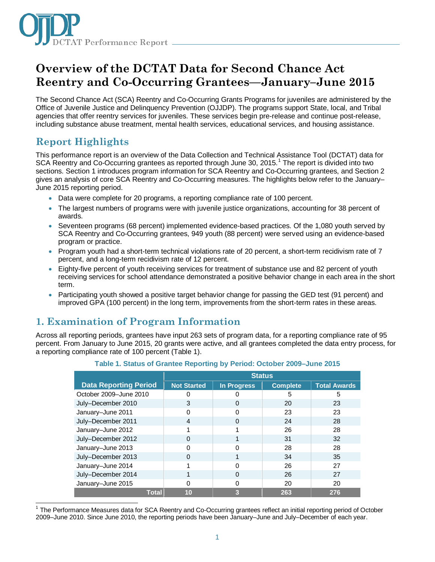

# **Overview of the DCTAT Data for Second Chance Act Reentry and Co-Occurring Grantees—January–June 2015**

The Second Chance Act (SCA) Reentry and Co-Occurring Grants Programs for juveniles are administered by the Office of Juvenile Justice and Delinquency Prevention (OJJDP). The programs support State, local, and Tribal agencies that offer reentry services for juveniles. These services begin pre-release and continue post-release, including substance abuse treatment, mental health services, educational services, and housing assistance.

# **Report Highlights**

This performance report is an overview of the Data Collection and Technical Assistance Tool (DCTAT) data for SCA Reentry and Co-Occurring grantees as reported through June 30, 20[1](#page-0-0)5.<sup>1</sup> The report is divided into two sections. Section 1 introduces program information for SCA Reentry and Co-Occurring grantees, and Section 2 gives an analysis of core SCA Reentry and Co-Occurring measures. The highlights below refer to the January– June 2015 reporting period.

- Data were complete for 20 programs, a reporting compliance rate of 100 percent.
- The largest numbers of programs were with juvenile justice organizations, accounting for 38 percent of awards.
- Seventeen programs (68 percent) implemented evidence-based practices. Of the 1,080 youth served by SCA Reentry and Co-Occurring grantees, 949 youth (88 percent) were served using an evidence-based program or practice.
- Program youth had a short-term technical violations rate of 20 percent, a short-term recidivism rate of 7 percent, and a long-term recidivism rate of 12 percent.
- Eighty-five percent of youth receiving services for treatment of substance use and 82 percent of youth receiving services for school attendance demonstrated a positive behavior change in each area in the short term.
- Participating youth showed a positive target behavior change for passing the GED test (91 percent) and improved GPA (100 percent) in the long term, improvements from the short-term rates in these areas.

# **1. Examination of Program Information**

Across all reporting periods, grantees have input 263 sets of program data, for a reporting compliance rate of 95 percent. From January to June 2015, 20 grants were active, and all grantees completed the data entry process, for a reporting compliance rate of 100 percent (Table 1).

|                              | <b>Status</b>      |                    |                 |                     |
|------------------------------|--------------------|--------------------|-----------------|---------------------|
| <b>Data Reporting Period</b> | <b>Not Started</b> | <b>In Progress</b> | <b>Complete</b> | <b>Total Awards</b> |
| October 2009-June 2010       | O                  |                    | 5               | 5                   |
| July-December 2010           | 3                  | 0                  | 20              | 23                  |
| January-June 2011            | U                  | ŋ                  | 23              | 23                  |
| July-December 2011           | 4                  | 0                  | 24              | 28                  |
| January-June 2012            |                    |                    | 26              | 28                  |
| July-December 2012           | 0                  |                    | 31              | 32                  |
| January-June 2013            | U                  | 0                  | 28              | 28                  |
| July-December 2013           | 0                  |                    | 34              | 35                  |
| January-June 2014            |                    | ∩                  | 26              | 27                  |
| July-December 2014           |                    | 0                  | 26              | 27                  |
| January-June 2015            | O                  | ∩                  | 20              | 20                  |
| <b>Total</b>                 | 10                 | 3                  | 263             | 276                 |

### **Table 1. Status of Grantee Reporting by Period: October 2009–June 2015**

<span id="page-0-0"></span> $\overline{\phantom{a}}$ <sup>1</sup> The Performance Measures data for SCA Reentry and Co-Occurring grantees reflect an initial reporting period of October 2009–June 2010. Since June 2010, the reporting periods have been January–June and July–December of each year.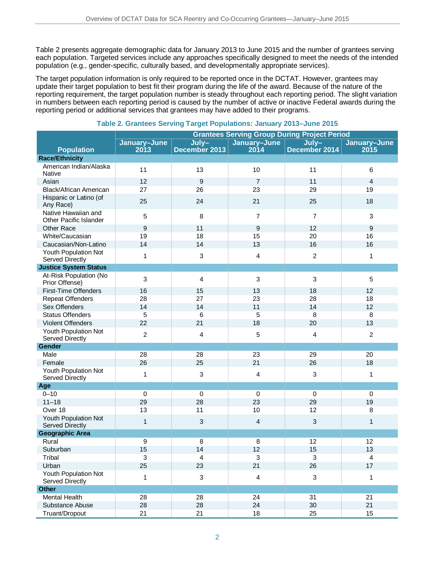Table 2 presents aggregate demographic data for January 2013 to June 2015 and the number of grantees serving each population. Targeted services include any approaches specifically designed to meet the needs of the intended population (e.g., gender-specific, culturally based, and developmentally appropriate services).

The target population information is only required to be reported once in the DCTAT. However, grantees may update their target population to best fit their program during the life of the award. Because of the nature of the reporting requirement, the target population number is steady throughout each reporting period. The slight variation in numbers between each reporting period is caused by the number of active or inactive Federal awards during the reporting period or additional services that grantees may have added to their programs.

|                                                | <b>Grantees Serving Group During Project Period</b> |                |                |                |                         |
|------------------------------------------------|-----------------------------------------------------|----------------|----------------|----------------|-------------------------|
|                                                | January-June                                        | $July-$        | January-June   | $July-$        | January-June            |
| <b>Population</b>                              | 2013                                                | December 2013  | 2014           | December 2014  | 2015                    |
| <b>Race/Ethnicity</b>                          |                                                     |                |                |                |                         |
| American Indian/Alaska<br><b>Native</b>        | 11                                                  | 13             | 10             | 11             | 6                       |
| Asian                                          | 12                                                  | 9              | $\overline{7}$ | 11             | $\overline{4}$          |
| Black/African American                         | 27                                                  | 26             | 23             | 29             | 19                      |
| Hispanic or Latino (of<br>Any Race)            | 25                                                  | 24             | 21             | 25             | 18                      |
| Native Hawaiian and<br>Other Pacific Islander  | 5                                                   | 8              | $\overline{7}$ | $\overline{7}$ | 3                       |
| Other Race                                     | $\overline{9}$                                      | 11             | 9              | 12             | 9                       |
| White/Caucasian                                | 19                                                  | 18             | 15             | 20             | 16                      |
| Caucasian/Non-Latino                           | 14                                                  | 14             | 13             | 16             | 16                      |
| Youth Population Not<br>Served Directly        | 1                                                   | $\sqrt{3}$     | 4              | $\overline{c}$ | 1                       |
| <b>Justice System Status</b>                   |                                                     |                |                |                |                         |
| At-Risk Population (No<br>Prior Offense)       | 3                                                   | $\overline{4}$ | 3              | 3              | 5                       |
| First-Time Offenders                           | 16                                                  | 15             | 13             | 18             | 12                      |
| <b>Repeat Offenders</b>                        | 28                                                  | 27             | 23             | 28             | 18                      |
| Sex Offenders                                  | 14                                                  | 14             | 11             | 14             | 12                      |
| <b>Status Offenders</b>                        | 5                                                   | 6              | 5              | 8              | $\overline{8}$          |
| Violent Offenders                              | 22                                                  | 21             | 18             | 20             | 13                      |
| Youth Population Not<br><b>Served Directly</b> | $\overline{2}$                                      | 4              | 5              | 4              | $\overline{2}$          |
| Gender                                         |                                                     |                |                |                |                         |
| Male                                           | 28                                                  | 28             | 23             | 29             | 20                      |
| Female                                         | 26                                                  | 25             | 21             | 26             | 18                      |
| Youth Population Not<br><b>Served Directly</b> | 1                                                   | 3              | 4              | 3              | 1                       |
| Age                                            |                                                     |                |                |                |                         |
| $0 - 10$                                       | $\boldsymbol{0}$                                    | $\mathbf 0$    | $\mathbf 0$    | $\pmb{0}$      | $\pmb{0}$               |
| $11 - 18$                                      | 29                                                  | 28             | 23             | 29             | 19                      |
| Over 18                                        | 13                                                  | 11             | 10             | 12             | 8                       |
| Youth Population Not<br><b>Served Directly</b> | $\mathbf{1}$                                        | $\mathbf{3}$   | $\overline{a}$ | $\mathbf{3}$   | 1                       |
| <b>Geographic Area</b>                         |                                                     |                |                |                |                         |
| Rural                                          | 9                                                   | 8              | $\, 8$         | 12             | 12                      |
| Suburban                                       | 15                                                  | 14             | 12             | 15             | 13                      |
| Tribal                                         | 3                                                   | $\overline{4}$ | 3              | 3              | $\overline{\mathbf{4}}$ |
| Urban                                          | 25                                                  | 23             | 21             | 26             | 17                      |
| Youth Population Not<br>Served Directly        | 1                                                   | $\mathbf{3}$   | $\overline{4}$ | 3              | $\mathbf{1}$            |
| <b>Other</b>                                   |                                                     |                |                |                |                         |
| <b>Mental Health</b>                           | 28                                                  | 28             | 24             | 31             | 21                      |
| Substance Abuse                                | 28                                                  | 28             | 24             | 30             | 21                      |
| Truant/Dropout                                 | 21                                                  | 21             | 18             | 25             | 15                      |

### **Table 2. Grantees Serving Target Populations: January 2013–June 2015**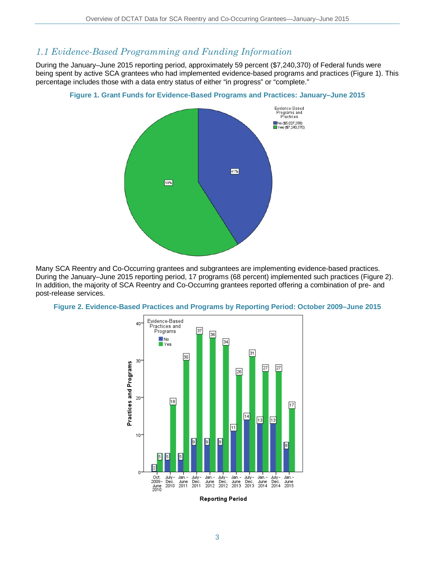### *1.1 Evidence-Based Programming and Funding Information*

During the January–June 2015 reporting period, approximately 59 percent (\$7,240,370) of Federal funds were being spent by active SCA grantees who had implemented evidence-based programs and practices (Figure 1). This percentage includes those with a data entry status of either "in progress" or "complete."



**Figure 1. Grant Funds for Evidence-Based Programs and Practices: January–June 2015**

Many SCA Reentry and Co-Occurring grantees and subgrantees are implementing evidence-based practices. During the January–June 2015 reporting period, 17 programs (68 percent) implemented such practices (Figure 2). In addition, the majority of SCA Reentry and Co-Occurring grantees reported offering a combination of pre- and post-release services.



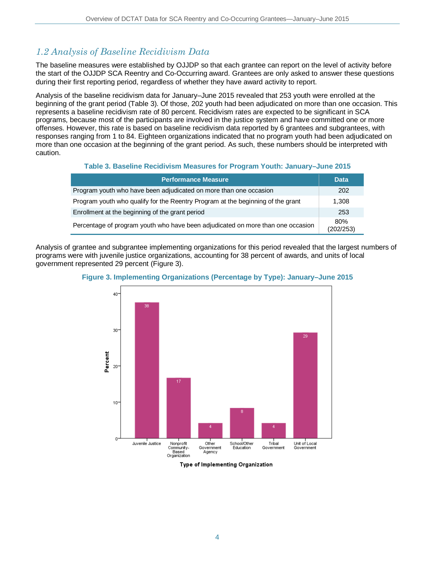## *1.2 Analysis of Baseline Recidivism Data*

The baseline measures were established by OJJDP so that each grantee can report on the level of activity before the start of the OJJDP SCA Reentry and Co-Occurring award. Grantees are only asked to answer these questions during their first reporting period, regardless of whether they have award activity to report.

Analysis of the baseline recidivism data for January–June 2015 revealed that 253 youth were enrolled at the beginning of the grant period (Table 3). Of those, 202 youth had been adjudicated on more than one occasion. This represents a baseline recidivism rate of 80 percent. Recidivism rates are expected to be significant in SCA programs, because most of the participants are involved in the justice system and have committed one or more offenses. However, this rate is based on baseline recidivism data reported by 6 grantees and subgrantees, with responses ranging from 1 to 84. Eighteen organizations indicated that no program youth had been adjudicated on more than one occasion at the beginning of the grant period. As such, these numbers should be interpreted with caution.

### **Table 3. Baseline Recidivism Measures for Program Youth: January–June 2015**

| <b>Performance Measure</b>                                                      | <b>Data</b>      |
|---------------------------------------------------------------------------------|------------------|
| Program youth who have been adjudicated on more than one occasion               | 202              |
| Program youth who qualify for the Reentry Program at the beginning of the grant | 1,308            |
| Enrollment at the beginning of the grant period                                 | 253              |
| Percentage of program youth who have been adjudicated on more than one occasion | 80%<br>(202/253) |

Analysis of grantee and subgrantee implementing organizations for this period revealed that the largest numbers of programs were with juvenile justice organizations, accounting for 38 percent of awards, and units of local government represented 29 percent (Figure 3).



### **Figure 3. Implementing Organizations (Percentage by Type): January–June 2015**

Type of Implementing Organization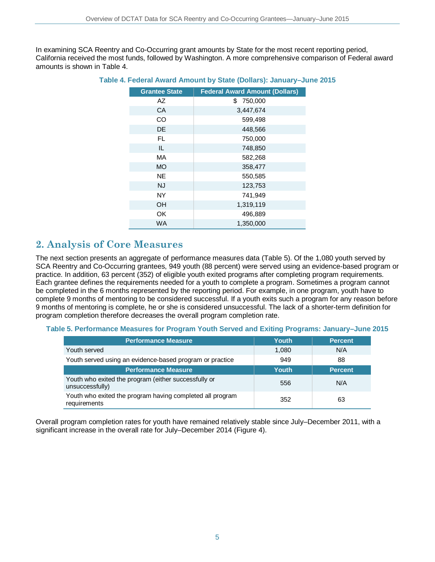In examining SCA Reentry and Co-Occurring grant amounts by State for the most recent reporting period, California received the most funds, followed by Washington. A more comprehensive comparison of Federal award amounts is shown in Table 4.

| <b>Grantee State</b> | <b>Federal Award Amount (Dollars)</b> |
|----------------------|---------------------------------------|
| AZ                   | 750,000<br>\$.                        |
| CA                   | 3,447,674                             |
| <b>CO</b>            | 599,498                               |
| DE                   | 448,566                               |
| FL.                  | 750,000                               |
| IL                   | 748,850                               |
| MA                   | 582,268                               |
| <b>MO</b>            | 358,477                               |
| <b>NE</b>            | 550,585                               |
| NJ                   | 123,753                               |
| <b>NY</b>            | 741,949                               |
| <b>OH</b>            | 1,319,119                             |
| OK                   | 496,889                               |
| <b>WA</b>            | 1,350,000                             |

#### **Table 4. Federal Award Amount by State (Dollars): January–June 2015**

### **2. Analysis of Core Measures**

The next section presents an aggregate of performance measures data (Table 5). Of the 1,080 youth served by SCA Reentry and Co-Occurring grantees, 949 youth (88 percent) were served using an evidence-based program or practice. In addition, 63 percent (352) of eligible youth exited programs after completing program requirements. Each grantee defines the requirements needed for a youth to complete a program. Sometimes a program cannot be completed in the 6 months represented by the reporting period. For example, in one program, youth have to complete 9 months of mentoring to be considered successful. If a youth exits such a program for any reason before 9 months of mentoring is complete, he or she is considered unsuccessful. The lack of a shorter-term definition for program completion therefore decreases the overall program completion rate.

#### **Table 5. Performance Measures for Program Youth Served and Exiting Programs: January–June 2015**

| <b>Performance Measure</b>                                                | <b>Youth</b> | <b>Percent</b> |
|---------------------------------------------------------------------------|--------------|----------------|
| Youth served                                                              | 1,080        | N/A            |
| Youth served using an evidence-based program or practice                  | 949          | 88             |
| <b>Performance Measure</b>                                                | <b>Youth</b> | <b>Percent</b> |
| Youth who exited the program (either successfully or<br>unsuccessfully)   | 556          | N/A            |
| Youth who exited the program having completed all program<br>requirements | 352          | 63             |

Overall program completion rates for youth have remained relatively stable since July–December 2011, with a significant increase in the overall rate for July–December 2014 (Figure 4).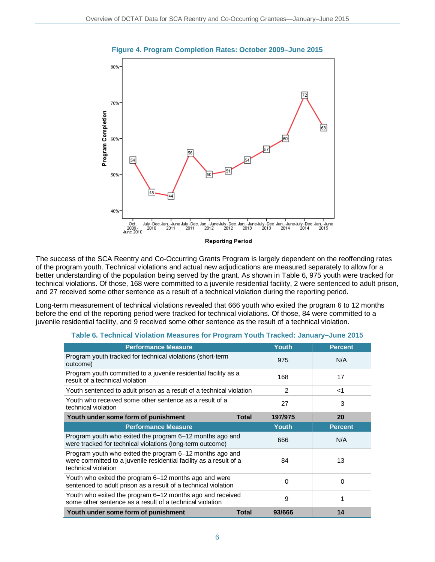

### **Figure 4. Program Completion Rates: October 2009–June 2015**

The success of the SCA Reentry and Co-Occurring Grants Program is largely dependent on the reoffending rates of the program youth. Technical violations and actual new adjudications are measured separately to allow for a better understanding of the population being served by the grant. As shown in Table 6, 975 youth were tracked for technical violations. Of those, 168 were committed to a juvenile residential facility, 2 were sentenced to adult prison, and 27 received some other sentence as a result of a technical violation during the reporting period.

Long-term measurement of technical violations revealed that 666 youth who exited the program 6 to 12 months before the end of the reporting period were tracked for technical violations. Of those, 84 were committed to a juvenile residential facility, and 9 received some other sentence as the result of a technical violation.

| <b>Performance Measure</b>                                                                                                                            | <b>Youth</b> | <b>Percent</b> |
|-------------------------------------------------------------------------------------------------------------------------------------------------------|--------------|----------------|
| Program youth tracked for technical violations (short-term<br>outcome)                                                                                | 975          | N/A            |
| Program youth committed to a juvenile residential facility as a<br>result of a technical violation                                                    | 168          | 17             |
| Youth sentenced to adult prison as a result of a technical violation                                                                                  | 2            | ا>             |
| Youth who received some other sentence as a result of a<br>technical violation                                                                        | 27           | 3              |
| Youth under some form of punishment<br>Total                                                                                                          | 197/975      | 20             |
| <b>Performance Measure</b>                                                                                                                            | <b>Youth</b> | <b>Percent</b> |
| Program youth who exited the program 6–12 months ago and<br>were tracked for technical violations (long-term outcome)                                 | 666          | N/A            |
| Program youth who exited the program 6–12 months ago and<br>were committed to a juvenile residential facility as a result of a<br>technical violation | 84           | 13             |
| Youth who exited the program 6–12 months ago and were<br>sentenced to adult prison as a result of a technical violation                               | 0            | 0              |
| Youth who exited the program 6–12 months ago and received<br>some other sentence as a result of a technical violation                                 | 9            |                |
| Youth under some form of punishment<br>Total                                                                                                          | 93/666       | 14             |

#### **Table 6. Technical Violation Measures for Program Youth Tracked: January–June 2015**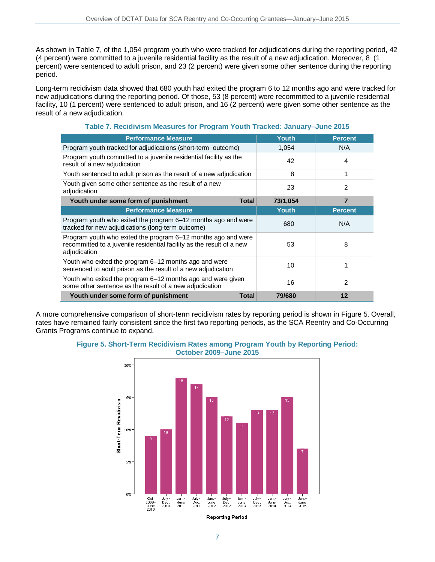As shown in Table 7, of the 1,054 program youth who were tracked for adjudications during the reporting period, 42 (4 percent) were committed to a juvenile residential facility as the result of a new adjudication. Moreover, 8 (1 percent) were sentenced to adult prison, and 23 (2 percent) were given some other sentence during the reporting period.

Long-term recidivism data showed that 680 youth had exited the program 6 to 12 months ago and were tracked for new adjudications during the reporting period. Of those, 53 (8 percent) were recommitted to a juvenile residential facility, 10 (1 percent) were sentenced to adult prison, and 16 (2 percent) were given some other sentence as the result of a new adjudication.

| <b>Performance Measure</b>                                                                                                                             | Youth        | <b>Percent</b> |
|--------------------------------------------------------------------------------------------------------------------------------------------------------|--------------|----------------|
| Program youth tracked for adjudications (short-term outcome)                                                                                           | 1,054        | N/A            |
| Program youth committed to a juvenile residential facility as the<br>result of a new adjudication                                                      | 42           | 4              |
| Youth sentenced to adult prison as the result of a new adjudication                                                                                    | 8            | 1              |
| Youth given some other sentence as the result of a new<br>adjudication                                                                                 | 23           | $\mathcal{P}$  |
| Youth under some form of punishment<br><b>Total</b>                                                                                                    | 73/1,054     | $\overline{7}$ |
| <b>Performance Measure</b>                                                                                                                             | <b>Youth</b> | <b>Percent</b> |
| Program youth who exited the program 6-12 months ago and were<br>tracked for new adjudications (long-term outcome)                                     | 680          | N/A            |
| Program youth who exited the program 6–12 months ago and were<br>recommitted to a juvenile residential facility as the result of a new<br>adjudication | 53           | 8              |
| Youth who exited the program 6–12 months ago and were<br>sentenced to adult prison as the result of a new adjudication                                 | 10           |                |
| Youth who exited the program 6-12 months ago and were given<br>some other sentence as the result of a new adjudication                                 | 16           | $\mathcal{P}$  |
| Youth under some form of punishment<br><b>Total</b>                                                                                                    | 79/680       | 12             |

### **Table 7. Recidivism Measures for Program Youth Tracked: January–June 2015**

A more comprehensive comparison of short-term recidivism rates by reporting period is shown in Figure 5. Overall, rates have remained fairly consistent since the first two reporting periods, as the SCA Reentry and Co-Occurring Grants Programs continue to expand.





**Reporting Period**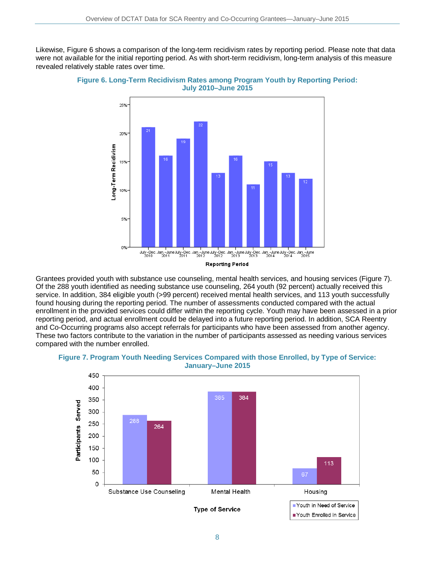Likewise, Figure 6 shows a comparison of the long-term recidivism rates by reporting period. Please note that data were not available for the initial reporting period. As with short-term recidivism, long-term analysis of this measure revealed relatively stable rates over time.



**Figure 6. Long-Term Recidivism Rates among Program Youth by Reporting Period: July 2010–June 2015**

Grantees provided youth with substance use counseling, mental health services, and housing services (Figure 7). Of the 288 youth identified as needing substance use counseling, 264 youth (92 percent) actually received this service. In addition, 384 eligible youth (>99 percent) received mental health services, and 113 youth successfully found housing during the reporting period. The number of assessments conducted compared with the actual enrollment in the provided services could differ within the reporting cycle. Youth may have been assessed in a prior reporting period, and actual enrollment could be delayed into a future reporting period. In addition, SCA Reentry and Co-Occurring programs also accept referrals for participants who have been assessed from another agency. These two factors contribute to the variation in the number of participants assessed as needing various services compared with the number enrolled.



### **Figure 7. Program Youth Needing Services Compared with those Enrolled, by Type of Service: January–June 2015**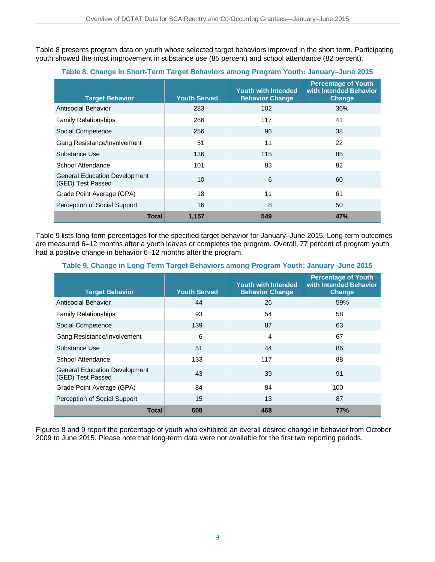Table 8 presents program data on youth whose selected target behaviors improved in the short term. Participating youth showed the most improvement in substance use (85 percent) and school attendance (82 percent).

| <b>Target Behavior</b>                                    | <b>Youth Served</b> | <b>Youth with Intended</b><br><b>Behavior Change</b> | <b>Percentage of Youth</b><br>with Intended Behavior<br><b>Change</b> |
|-----------------------------------------------------------|---------------------|------------------------------------------------------|-----------------------------------------------------------------------|
| <b>Antisocial Behavior</b>                                | 283                 | 102                                                  | 36%                                                                   |
| <b>Family Relationships</b>                               | 286                 | 117                                                  | 41                                                                    |
| Social Competence                                         | 256                 | 96                                                   | 38                                                                    |
| Gang Resistance/Involvement                               | 51                  | 11                                                   | 22                                                                    |
| Substance Use                                             | 136                 | 115                                                  | 85                                                                    |
| School Attendance                                         | 101                 | 83                                                   | 82                                                                    |
| <b>General Education Development</b><br>(GED) Test Passed | 10                  | 6                                                    | 60                                                                    |
| Grade Point Average (GPA)                                 | 18                  | 11                                                   | 61                                                                    |
| Perception of Social Support                              | 16                  | 8                                                    | 50                                                                    |
| Total                                                     | 1,157               | 549                                                  | 47%                                                                   |

### **Table 8. Change in Short-Term Target Behaviors among Program Youth: January–June 2015**

Table 9 lists long-term percentages for the specified target behavior for January–June 2015. Long-term outcomes are measured 6–12 months after a youth leaves or completes the program. Overall, 77 percent of program youth had a positive change in behavior 6–12 months after the program.

| <b>Target Behavior</b>                                    | <b>Youth Served</b> | <b>Youth with Intended</b><br><b>Behavior Change</b> | <b>Percentage of Youth</b><br>with Intended Behavior<br><b>Change</b> |
|-----------------------------------------------------------|---------------------|------------------------------------------------------|-----------------------------------------------------------------------|
| Antisocial Behavior                                       | 44                  | 26                                                   | 59%                                                                   |
| <b>Family Relationships</b>                               | 93                  | 54                                                   | 58                                                                    |
| Social Competence                                         | 139                 | 87                                                   | 63                                                                    |
| Gang Resistance/Involvement                               | 6                   | 4                                                    | 67                                                                    |
| Substance Use                                             | 51                  | 44                                                   | 86                                                                    |
| School Attendance                                         | 133                 | 117                                                  | 88                                                                    |
| <b>General Education Development</b><br>(GED) Test Passed | 43                  | 39                                                   | 91                                                                    |
| Grade Point Average (GPA)                                 | 84                  | 84                                                   | 100                                                                   |
| Perception of Social Support                              | 15                  | 13                                                   | 87                                                                    |
| Total                                                     | 608                 | 468                                                  | 77%                                                                   |

### **Table 9. Change in Long-Term Target Behaviors among Program Youth: January–June 2015**

Figures 8 and 9 report the percentage of youth who exhibited an overall desired change in behavior from October 2009 to June 2015. Please note that long-term data were not available for the first two reporting periods.